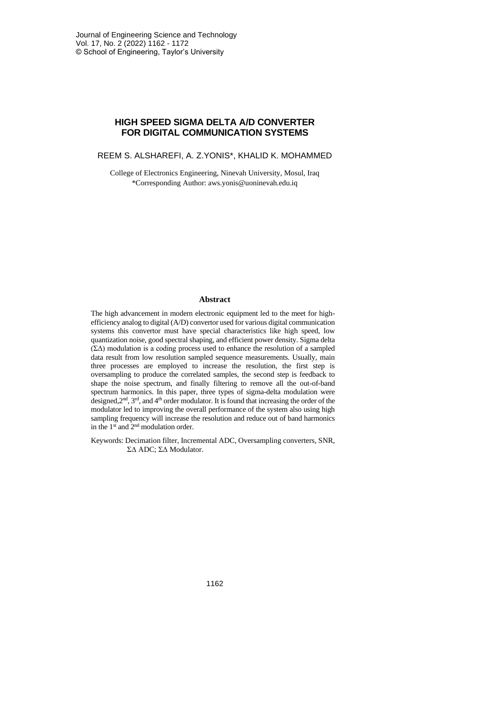# **HIGH SPEED SIGMA DELTA A/D CONVERTER FOR DIGITAL COMMUNICATION SYSTEMS**

REEM S. ALSHAREFI, A. Z.YONIS\*, KHALID K. MOHAMMED

College of Electronics Engineering, Ninevah University, Mosul, Iraq \*Corresponding Author: aws.yonis@uoninevah.edu.iq

## **Abstract**

The high advancement in modern electronic equipment led to the meet for highefficiency analog to digital (A/D) convertor used for various digital communication systems this convertor must have special characteristics like high speed, low quantization noise, good spectral shaping, and efficient power density. Sigma delta (ΣΔ) modulation is a coding process used to enhance the resolution of a sampled data result from low resolution sampled sequence measurements. Usually, main three processes are employed to increase the resolution, the first step is oversampling to produce the correlated samples, the second step is feedback to shape the noise spectrum, and finally filtering to remove all the out-of-band spectrum harmonics. In this paper, three types of sigma-delta modulation were designed,  $2<sup>nd</sup>$ ,  $3<sup>rd</sup>$ , and  $4<sup>th</sup>$  order modulator. It is found that increasing the order of the modulator led to improving the overall performance of the system also using high sampling frequency will increase the resolution and reduce out of band harmonics in the 1st and 2nd modulation order.

Keywords: Decimation filter, Incremental ADC, Oversampling converters, SNR, ΣΔ ADC; ΣΔ Modulator.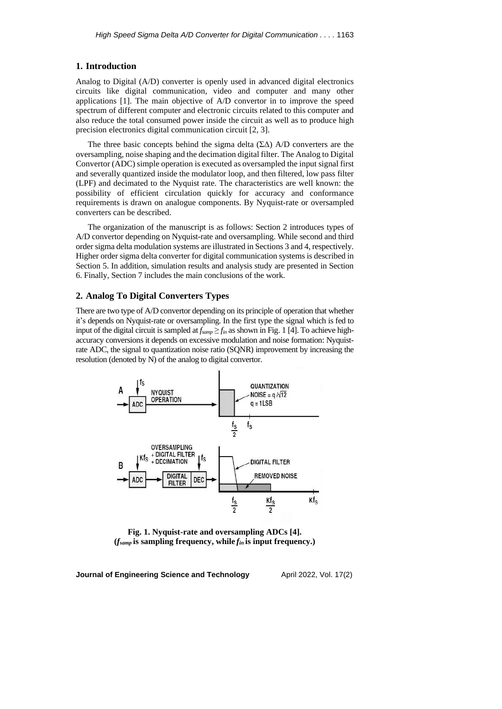## **1. Introduction**

Analog to Digital (A/D) converter is openly used in advanced digital electronics circuits like digital communication, video and computer and many other applications [1]. The main objective of A/D convertor in to improve the speed spectrum of different computer and electronic circuits related to this computer and also reduce the total consumed power inside the circuit as well as to produce high precision electronics digital communication circuit [2, 3].

The three basic concepts behind the sigma delta  $(\Sigma \Delta)$  A/D converters are the oversampling, noise shaping and the decimation digital filter. The Analog to Digital Convertor (ADC) simple operation is executed as oversampled the input signal first and severally quantized inside the modulator loop, and then filtered, low pass filter (LPF) and decimated to the Nyquist rate. The characteristics are well known: the possibility of efficient circulation quickly for accuracy and conformance requirements is drawn on analogue components. By Nyquist-rate or oversampled converters can be described.

The organization of the manuscript is as follows: Section 2 introduces types of A/D convertor depending on Nyquist-rate and oversampling. While second and third order sigma delta modulation systems are illustrated in Sections 3 and 4, respectively. Higher order sigma delta converter for digital communication systems is described in Section 5. In addition, simulation results and analysis study are presented in Section 6. Finally, Section 7 includes the main conclusions of the work.

## **2. Analog To Digital Converters Types**

There are two type of A/D convertor depending on its principle of operation that whether it's depends on Nyquist-rate or oversampling. In the first type the signal which is fed to input of the digital circuit is sampled at  $f_{\text{sump}} \geq f_{in}$  as shown in Fig. 1 [4]. To achieve highaccuracy conversions it depends on excessive modulation and noise formation: Nyquistrate ADC, the signal to quantization noise ratio (SQNR) improvement by increasing the resolution (denoted by N) of the analog to digital convertor.



**Fig. 1. Nyquist-rate and oversampling ADCs [4]. (***fsamp* **is sampling frequency, while** *fin* **is input frequency.)**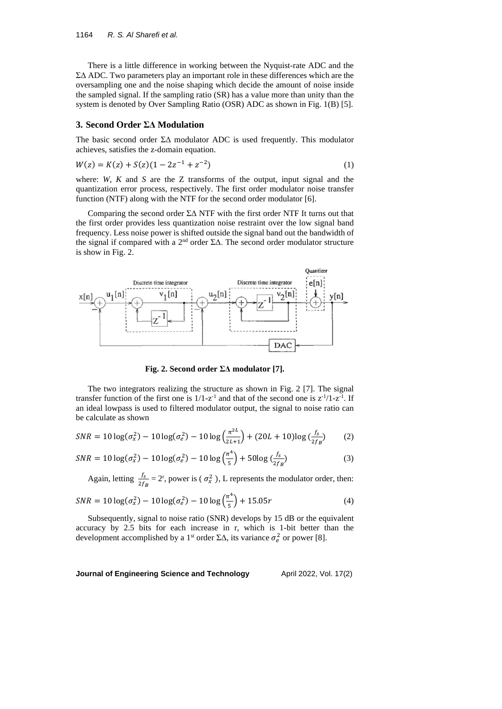There is a little difference in working between the Nyquist-rate ADC and the ΣΔ ADC. Two parameters play an important role in these differences which are the oversampling one and the noise shaping which decide the amount of noise inside the sampled signal. If the sampling ratio (SR) has a value more than unity than the system is denoted by Over Sampling Ratio (OSR) ADC as shown in Fig. 1(B) [5].

#### **3. Second Order ΣΔ Modulation**

The basic second order  $\Sigma\Delta$  modulator ADC is used frequently. This modulator achieves, satisfies the z-domain equation.

$$
W(z) = K(z) + S(z)(1 - 2z^{-1} + z^{-2})
$$
\n(1)

where: *W*, *K* and *S* are the Z transforms of the output, input signal and the quantization error process, respectively. The first order modulator noise transfer function (NTF) along with the NTF for the second order modulator [6].

Comparing the second order ΣΔ NTF with the first order NTF It turns out that the first order provides less quantization noise restraint over the low signal band frequency. Less noise power is shifted outside the signal band out the bandwidth of the signal if compared with a 2<sup>nd</sup> order ΣΔ. The second order modulator structure is show in Fig. 2.



**Fig. 2. Second order ΣΔ modulator [7].**

The two integrators realizing the structure as shown in Fig. 2 [7]. The signal transfer function of the first one is  $1/1-z^{-1}$  and that of the second one is  $z^{-1}/1-z^{-1}$ . If an ideal lowpass is used to filtered modulator output, the signal to noise ratio can be calculate as shown

$$
SNR = 10 \log(\sigma_x^2) - 10 \log(\sigma_e^2) - 10 \log\left(\frac{\pi^{2L}}{2L+1}\right) + (20L+10) \log\left(\frac{fs}{2fg}\right) \tag{2}
$$

$$
SNR = 10 \log(\sigma_x^2) - 10 \log(\sigma_e^2) - 10 \log\left(\frac{\pi^4}{5}\right) + 50 \log\left(\frac{f_s}{2f_B}\right) \tag{3}
$$

Again, letting  $\frac{f_s}{2f_s}$  $\frac{J_s}{2f_B}$  = 2<sup>r</sup>, power is ( $\sigma_x^2$ ), L represents the modulator order, then:

$$
SNR = 10 \log(\sigma_x^2) - 10 \log(\sigma_e^2) - 10 \log\left(\frac{\pi^4}{5}\right) + 15.05r \tag{4}
$$

Subsequently, signal to noise ratio (SNR) develops by 15 dB or the equivalent accuracy by 2.5 bits for each increase in r, which is 1-bit better than the development accomplished by a 1<sup>st</sup> order  $\Sigma\Delta$ , its variance  $\sigma_e^2$  or power [8].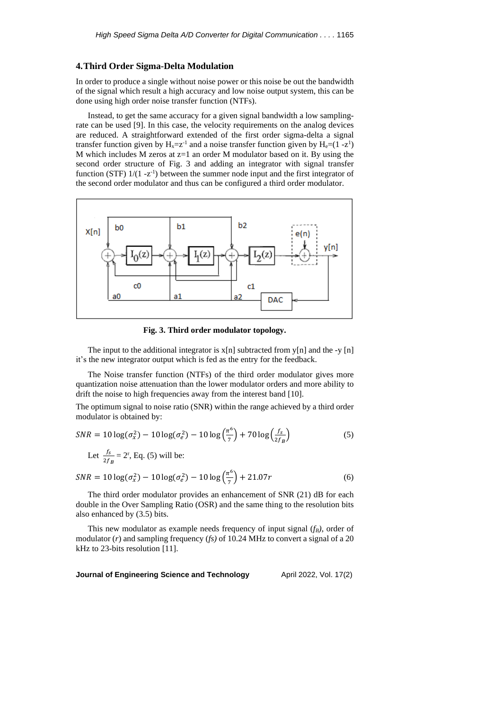#### **4.Third Order Sigma-Delta Modulation**

In order to produce a single without noise power or this noise be out the bandwidth of the signal which result a high accuracy and low noise output system, this can be done using high order noise transfer function (NTFs).

Instead, to get the same accuracy for a given signal bandwidth a low samplingrate can be used [9]. In this case, the velocity requirements on the analog devices are reduced. A straightforward extended of the first order sigma-delta a signal transfer function given by  $H_x = z^{-1}$  and a noise transfer function given by  $H_e = (1 - z^1)$ M which includes M zeros at  $z=1$  an order M modulator based on it. By using the second order structure of Fig. 3 and adding an integrator with signal transfer function (STF)  $1/(1 - z^{-1})$  between the summer node input and the first integrator of the second order modulator and thus can be configured a third order modulator.



**Fig. 3. Third order modulator topology.**

The input to the additional integrator is  $x[n]$  subtracted from  $y[n]$  and the -y  $[n]$ it's the new integrator output which is fed as the entry for the feedback.

The Noise transfer function (NTFs) of the third order modulator gives more quantization noise attenuation than the lower modulator orders and more ability to drift the noise to high frequencies away from the interest band [10].

The optimum signal to noise ratio (SNR) within the range achieved by a third order modulator is obtained by:

$$
SNR = 10 \log(\sigma_x^2) - 10 \log(\sigma_e^2) - 10 \log\left(\frac{\pi^6}{7}\right) + 70 \log\left(\frac{f_s}{2f_B}\right)
$$
(5)  
Let  $\frac{f_s}{2f_B} = 2^r$ , Eq. (5) will be:

$$
SNR = 10 \log(\sigma_x^2) - 10 \log(\sigma_e^2) - 10 \log(\frac{\pi^6}{7}) + 21.07r
$$
 (6)

The third order modulator provides an enhancement of SNR (21) dB for each double in the Over Sampling Ratio (OSR) and the same thing to the resolution bits also enhanced by (3.5) bits.

This new modulator as example needs frequency of input signal (*fB)*, order of modulator (*r*) and sampling frequency (*fs)* of 10.24 MHz to convert a signal of a 20 kHz to 23-bits resolution [11].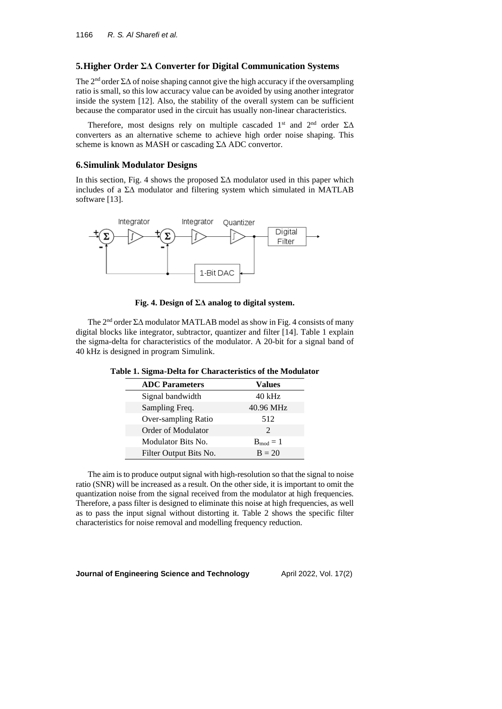## **5.Higher Order ΣΔ Converter for Digital Communication Systems**

The  $2<sup>nd</sup>$  order  $\Sigma\Delta$  of noise shaping cannot give the high accuracy if the oversampling ratio is small, so this low accuracy value can be avoided by using another integrator inside the system [12]. Also, the stability of the overall system can be sufficient because the comparator used in the circuit has usually non-linear characteristics.

Therefore, most designs rely on multiple cascaded  $1<sup>st</sup>$  and  $2<sup>nd</sup>$  order  $\Sigma\Delta$ converters as an alternative scheme to achieve high order noise shaping. This scheme is known as MASH or cascading ΣΔ ADC convertor.

#### **6.Simulink Modulator Designs**

In this section, Fig. 4 shows the proposed  $\Sigma\Delta$  modulator used in this paper which includes of a ΣΔ modulator and filtering system which simulated in MATLAB software [13].



**Fig. 4. Design of ΣΔ analog to digital system.**

The 2<sup>nd</sup> order ΣΔ modulator MATLAB model as show in Fig. 4 consists of many digital blocks like integrator, subtractor, quantizer and filter [14]. Table 1 explain the sigma-delta for characteristics of the modulator. A 20-bit for a signal band of 40 kHz is designed in program Simulink.

| <b>ADC</b> Parameters  | Values                      |  |  |
|------------------------|-----------------------------|--|--|
| Signal bandwidth       | 40 kHz                      |  |  |
| Sampling Freq.         | 40.96 MHz                   |  |  |
| Over-sampling Ratio    | 512                         |  |  |
| Order of Modulator     | $\mathcal{D}_{\mathcal{L}}$ |  |  |
| Modulator Bits No.     | $B_{mod}=1$                 |  |  |
| Filter Output Bits No. | $B = 20$                    |  |  |

The aim isto produce output signal with high-resolution so that the signal to noise ratio (SNR) will be increased as a result. On the other side, it is important to omit the quantization noise from the signal received from the modulator at high frequencies. Therefore, a pass filter is designed to eliminate this noise at high frequencies, as well as to pass the input signal without distorting it. Table 2 shows the specific filter characteristics for noise removal and modelling frequency reduction.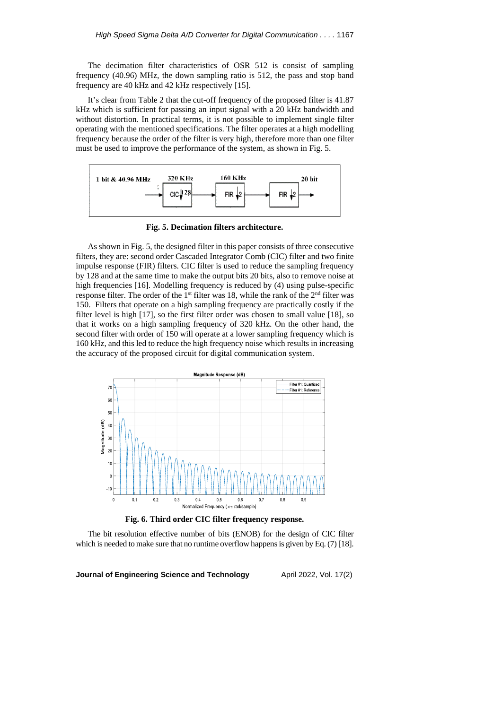The decimation filter characteristics of OSR 512 is consist of sampling frequency (40.96) MHz, the down sampling ratio is 512, the pass and stop band frequency are 40 kHz and 42 kHz respectively [15].

It's clear from Table 2 that the cut-off frequency of the proposed filter is 41.87 kHz which is sufficient for passing an input signal with a 20 kHz bandwidth and without distortion. In practical terms, it is not possible to implement single filter operating with the mentioned specifications. The filter operates at a high modelling frequency because the order of the filter is very high, therefore more than one filter must be used to improve the performance of the system, as shown in Fig. 5.



**Fig. 5. Decimation filters architecture.**

As shown in Fig. 5, the designed filter in this paper consists of three consecutive filters, they are: second order Cascaded Integrator Comb (CIC) filter and two finite impulse response (FIR) filters. CIC filter is used to reduce the sampling frequency by 128 and at the same time to make the output bits 20 bits, also to remove noise at high frequencies [16]. Modelling frequency is reduced by (4) using pulse-specific response filter. The order of the  $1<sup>st</sup>$  filter was 18, while the rank of the  $2<sup>nd</sup>$  filter was 150. Filters that operate on a high sampling frequency are practically costly if the filter level is high [17], so the first filter order was chosen to small value [18], so that it works on a high sampling frequency of 320 kHz. On the other hand, the second filter with order of 150 will operate at a lower sampling frequency which is 160 kHz, and this led to reduce the high frequency noise which results in increasing the accuracy of the proposed circuit for digital communication system.





The bit resolution effective number of bits (ENOB) for the design of CIC filter which is needed to make sure that no runtime overflow happens is given by Eq. (7) [18].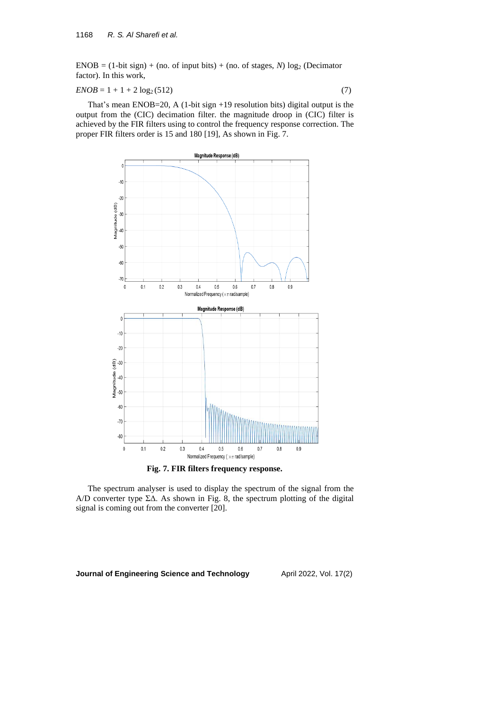$ENOB = (1-bit sign) + (no. of input bits) + (no. of stages, N) log<sub>2</sub> (Decimator)$ factor). In this work,

$$
ENOB = 1 + 1 + 2 \log_2(512) \tag{7}
$$

That's mean ENOB=20, A (1-bit sign +19 resolution bits) digital output is the output from the (CIC) decimation filter. the magnitude droop in (CIC) filter is achieved by the FIR filters using to control the frequency response correction. The proper FIR filters order is 15 and 180 [19], As shown in Fig. 7.



**Fig. 7. FIR filters frequency response.**

The spectrum analyser is used to display the spectrum of the signal from the A/D converter type  $\Sigma\Delta$ . As shown in Fig. 8, the spectrum plotting of the digital signal is coming out from the converter [20].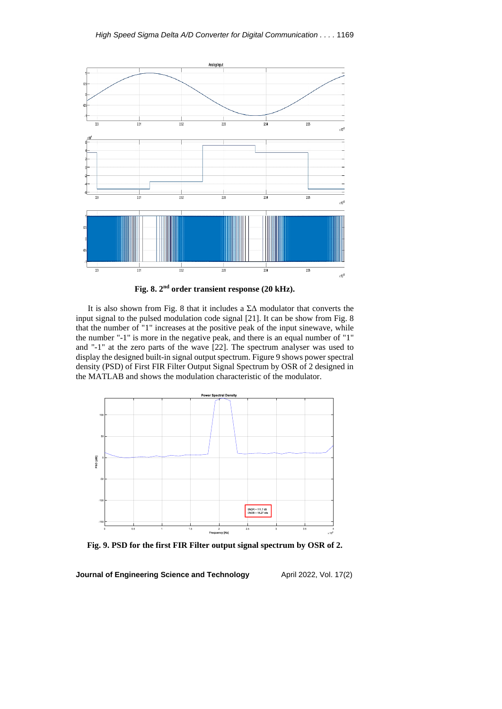

**Fig. 8. 2 nd order transient response (20 kHz).**

It is also shown from Fig. 8 that it includes a  $\Sigma\Delta$  modulator that converts the input signal to the pulsed modulation code signal [21]. It can be show from Fig. 8 that the number of "1" increases at the positive peak of the input sinewave, while the number "-1" is more in the negative peak, and there is an equal number of "1" and "-1" at the zero parts of the wave [22]. The spectrum analyser was used to display the designed built-in signal output spectrum. Figure 9 shows power spectral density (PSD) of First FIR Filter Output Signal Spectrum by OSR of 2 designed in the MATLAB and shows the modulation characteristic of the modulator.



**Fig. 9. PSD for the first FIR Filter output signal spectrum by OSR of 2.**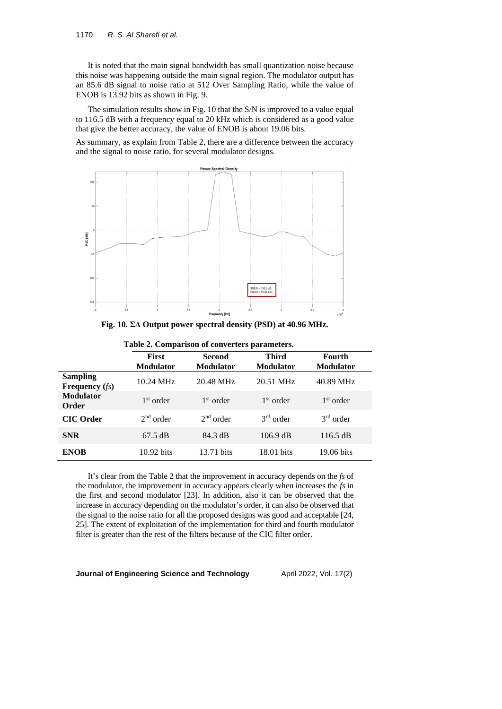It is noted that the main signal bandwidth has small quantization noise because this noise was happening outside the main signal region. The modulator output has an 85.6 dB signal to noise ratio at 512 Over Sampling Ratio, while the value of ENOB is 13.92 bits as shown in Fig. 9.

The simulation results show in Fig. 10 that the S/N is improved to a value equal to 116.5 dB with a frequency equal to 20 kHz which is considered as a good value that give the better accuracy, the value of ENOB is about 19.06 bits.

As summary, as explain from Table 2, there are a difference between the accuracy and the signal to noise ratio, for several modulator designs.



**Fig. 10. ΣΔ Output power spectral density (PSD) at 40.96 MHz.**

|                                      | <b>First</b><br><b>Modulator</b> | <b>Second</b><br><b>Modulator</b> | <b>Third</b><br><b>Modulator</b> | <b>Fourth</b><br><b>Modulator</b> |
|--------------------------------------|----------------------------------|-----------------------------------|----------------------------------|-----------------------------------|
| Sampling<br><b>Frequency</b> $(f_s)$ | 10.24 MHz                        | 20.48 MHz                         | 20.51 MHz                        | 40.89 MHz                         |
| <b>Modulator</b><br>Order            | 1 <sup>st</sup> order            | 1 <sup>st</sup> order             | 1 <sup>st</sup> order            | $1st$ order                       |
| <b>CIC</b> Order                     | 2 <sup>nd</sup> order            | 2 <sup>nd</sup> order             | $3rd$ order                      | $3rd$ order                       |
| <b>SNR</b>                           | $67.5 \text{ dB}$                | 84.3 dB                           | $106.9$ dB                       | 116.5 dB                          |
| <b>ENOB</b>                          | 10.92 bits                       | 13.71 bits                        | 18.01 bits                       | 19.06 bits                        |

**Table 2. Comparison of converters parameters.**

It's clear from the Table 2 that the improvement in accuracy depends on the *fs* of the modulator, the improvement in accuracy appears clearly when increases the *fs* in the first and second modulator [23]. In addition, also it can be observed that the increase in accuracy depending on the modulator's order, it can also be observed that the signal to the noise ratio for all the proposed designs was good and acceptable [24, 25]. The extent of exploitation of the implementation for third and fourth modulator filter is greater than the rest of the filters because of the CIC filter order.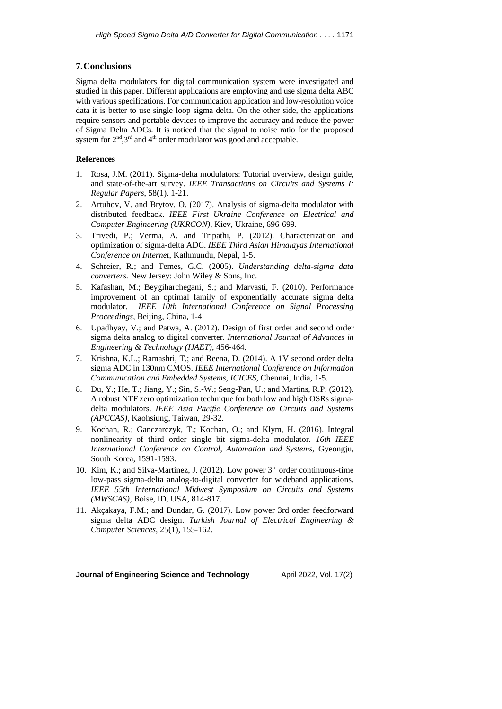## **7.Conclusions**

Sigma delta modulators for digital communication system were investigated and studied in this paper. Different applications are employing and use sigma delta ABC with various specifications. For communication application and low-resolution voice data it is better to use single loop sigma delta. On the other side, the applications require sensors and portable devices to improve the accuracy and reduce the power of Sigma Delta ADCs. It is noticed that the signal to noise ratio for the proposed system for  $2<sup>nd</sup>, 3<sup>rd</sup>$  and  $4<sup>th</sup>$  order modulator was good and acceptable.

### **References**

- 1. Rosa, J.M. (2011). Sigma-delta modulators: Tutorial overview, design guide, and state-of-the-art survey. *IEEE Transactions on Circuits and Systems I: Regular Papers*, 58(1). 1-21.
- 2. Artuhov, V. and Brytov, O. (2017). Analysis of sigma-delta modulator with distributed feedback. *IEEE First Ukraine Conference on Electrical and Computer Engineering (UKRCON)*, Kiev, Ukraine, 696-699.
- 3. Trivedi, P.; Verma, A. and Tripathi, P. (2012). Characterization and optimization of sigma-delta ADC. *IEEE Third Asian Himalayas International Conference on Internet*, Kathmundu, Nepal, 1-5.
- 4. Schreier, R.; and Temes, G.C. (2005). *Understanding delta-sigma data converters.* New Jersey: John Wiley & Sons, Inc.
- 5. Kafashan, M.; Beygiharchegani, S.; and Marvasti, F. (2010). Performance improvement of an optimal family of exponentially accurate sigma delta modulator. *IEEE 10th International Conference on Signal Processing Proceedings,* Beijing, China, 1-4.
- 6. Upadhyay, V.; and Patwa, A. (2012). Design of first order and second order sigma delta analog to digital converter. *International Journal of Advances in Engineering & Technology (IJAET)*, 456-464.
- 7. Krishna, K.L.; Ramashri, T.; and Reena, D. (2014). A 1V second order delta sigma ADC in 130nm CMOS. *IEEE International Conference on Information Communication and Embedded Systems, ICICES*, Chennai, India, 1-5.
- 8. Du, Y.; He, T.; Jiang, Y.; Sin, S.-W.; Seng-Pan, U.; and Martins, R.P. (2012). A robust NTF zero optimization technique for both low and high OSRs sigmadelta modulators. *IEEE Asia Pacific Conference on Circuits and Systems (APCCAS)*, Kaohsiung, Taiwan, 29-32.
- 9. Kochan, R.; Ganczarczyk, T.; Kochan, O.; and Klym, H. (2016). Integral nonlinearity of third order single bit sigma-delta modulator. *16th IEEE International Conference on Control, Automation and Systems,* Gyeongju, South Korea, 1591-1593.
- 10. Kim, K.; and Silva-Martinez, J. (2012). Low power 3<sup>rd</sup> order continuous-time low-pass sigma-delta analog-to-digital converter for wideband applications. *IEEE 55th [International](https://ieeexplore.ieee.org/xpl/conhome/6276898/proceeding) Midwest Symposium on Circuits and Systems [\(MWSCAS\)](https://ieeexplore.ieee.org/xpl/conhome/6276898/proceeding)*, Boise, ID, USA, 814-817.
- 11. Akçakaya, F.M.; and Dundar, G. (2017). Low power 3rd order feedforward sigma delta ADC design. *Turkish Journal of Electrical Engineering & Computer Sciences*, 25(1), 155-162.